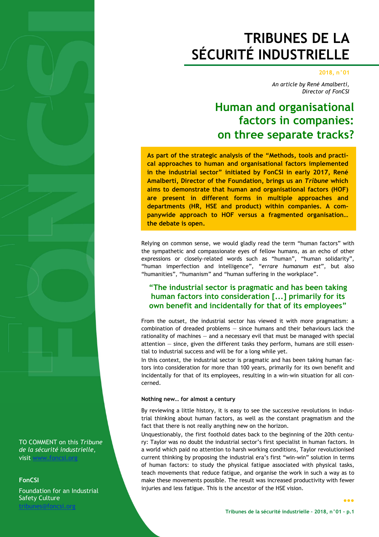# **TRIBUNES DE LA SÉCURITÉ INDUSTRIELLE**

#### **2018, n°01**

*An article by René Amalberti, Director of FonCSI* 

## **Human and organisational factors in companies: on three separate tracks?**

**As part of the strategic analysis of the "Methods, tools and practical approaches to human and organisational factors implemented in the industrial sector" initiated by FonCSI in early 2017, René Amalberti, Director of the Foundation, brings us an** *Tribune* **which aims to demonstrate that human and organisational factors (HOF) are present in different forms in multiple approaches and departments (HR, HSE and product) within companies. A companywide approach to HOF versus a fragmented organisation… the debate is open.** 

Relying on common sense, we would gladly read the term "human factors" with the sympathetic and compassionate eyes of fellow humans, as an echo of other expressions or closely-related words such as "human", "human solidarity", "human imperfection and intelligence", "*errare humanum est*", but also "humanities", "humanism" and "human suffering in the workplace".

## **"The industrial sector is pragmatic and has been taking human factors into consideration [...] primarily for its own benefit and incidentally for that of its employees"**

From the outset, the industrial sector has viewed it with more pragmatism: a combination of dreaded problems — since humans and their behaviours lack the rationality of machines — and a necessary evil that must be managed with special attention — since, given the different tasks they perform, humans are still essential to industrial success and will be for a long while yet.

In this context, the industrial sector is pragmatic and has been taking human factors into consideration for more than 100 years, primarily for its own benefit and incidentally for that of its employees, resulting in a win-win situation for all concerned.

#### **Nothing new… for almost a century**

By reviewing a little history, it is easy to see the successive revolutions in industrial thinking about human factors, as well as the constant pragmatism and the fact that there is not really anything new on the horizon.

Unquestionably, the first foothold dates back to the beginning of the 20th century: Taylor was no doubt the industrial sector's first specialist in human factors. In a world which paid no attention to harsh working conditions, Taylor revolutionised current thinking by proposing the industrial era's first "win-win" solution in terms of human factors: to study the physical fatigue associated with physical tasks, teach movements that reduce fatigue, and organise the work in such a way as to make these movements possible. The result was increased productivity with fewer injuries and less fatigue. This is the ancestor of the HSE vision.

TO COMMENT on this *Tribune de la sécurité industrielle*, visit www.foncsi.org

### **FonCSI**

Foundation for an Industrial Safety Culture

tribunes@foncsi.org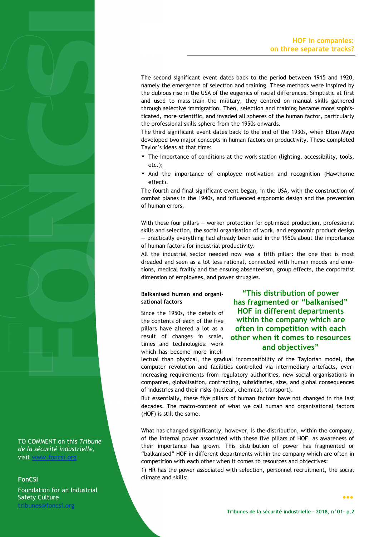The second significant event dates back to the period between 1915 and 1920, namely the emergence of selection and training. These methods were inspired by the dubious rise in the USA of the eugenics of racial differences. Simplistic at first and used to mass-train the military, they centred on manual skills gathered through selective immigration. Then, selection and training became more sophisticated, more scientific, and invaded all spheres of the human factor, particularly the professional skills sphere from the 1950s onwards.

The third significant event dates back to the end of the 1930s, when Elton Mayo developed two major concepts in human factors on productivity. These completed Taylor's ideas at that time:

- The importance of conditions at the work station (lighting, accessibility, tools, etc.);
- And the importance of employee motivation and recognition (Hawthorne effect).

The fourth and final significant event began, in the USA, with the construction of combat planes in the 1940s, and influenced ergonomic design and the prevention of human errors.

With these four pillars – worker protection for optimised production, professional skills and selection, the social organisation of work, and ergonomic product design — practically everything had already been said in the 1950s about the importance of human factors for industrial productivity.

All the industrial sector needed now was a fifth pillar: the one that is most dreaded and seen as a lot less rational, connected with human moods and emotions, medical frailty and the ensuing absenteeism, group effects, the corporatist dimension of employees, and power struggles.

#### **Balkanised human and organisational factors**

Since the 1950s, the details of the contents of each of the five pillars have altered a lot as a result of changes in scale, times and technologies: work which has become more intel-

## **"This distribution of power has fragmented or "balkanised" HOF in different departments within the company which are often in competition with each other when it comes to resources and objectives"**

lectual than physical, the gradual incompatibility of the Taylorian model, the computer revolution and facilities controlled via intermediary artefacts, everincreasing requirements from regulatory authorities, new social organisations in companies, globalisation, contracting, subsidiaries, size, and global consequences of industries and their risks (nuclear, chemical, transport).

But essentially, these five pillars of human factors have not changed in the last decades. The macro-content of what we call human and organisational factors (HOF) is still the same.

What has changed significantly, however, is the distribution, within the company, of the internal power associated with these five pillars of HOF, as awareness of their importance has grown. This distribution of power has fragmented or "balkanised" HOF in different departments within the company which are often in competition with each other when it comes to resources and objectives:

1) HR has the power associated with selection, personnel recruitment, the social climate and skills;

TO COMMENT on this *Tribune de la sécurité industrielle*, visit www.foncsi.o

#### **FonCSI**

Foundation for an Industrial Safety Culture

tribunes@foncsi.org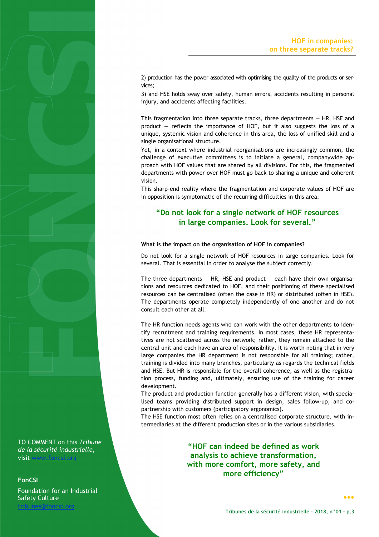2) production has the power associated with optimising the quality of the products or services;

3) and HSE holds sway over safety, human errors, accidents resulting in personal injury, and accidents affecting facilities.

This fragmentation into three separate tracks, three departments  $-$  HR, HSE and product — reflects the importance of HOF, but it also suggests the loss of a unique, systemic vision and coherence in this area, the loss of unified skill and a single organisational structure.

Yet, in a context where industrial reorganisations are increasingly common, the challenge of executive committees is to initiate a general, companywide approach with HOF values that are shared by all divisions. For this, the fragmented departments with power over HOF must go back to sharing a unique and coherent vision.

This sharp-end reality where the fragmentation and corporate values of HOF are in opposition is symptomatic of the recurring difficulties in this area.

## **"Do not look for a single network of HOF resources in large companies. Look for several."**

#### **What is the impact on the organisation of HOF in companies?**

Do not look for a single network of HOF resources in large companies. Look for several. That is essential in order to analyse the subject correctly.

The three departments  $-$  HR, HSE and product  $-$  each have their own organisations and resources dedicated to HOF, and their positioning of these specialised resources can be centralised (often the case in HR) or distributed (often in HSE). The departments operate completely independently of one another and do not consult each other at all.

The HR function needs agents who can work with the other departments to identify recruitment and training requirements. In most cases, these HR representatives are not scattered across the network; rather, they remain attached to the central unit and each have an area of responsibility. It is worth noting that in very large companies the HR department is not responsible for all training; rather, training is divided into many branches, particularly as regards the technical fields and HSE. But HR is responsible for the overall coherence, as well as the registration process, funding and, ultimately, ensuring use of the training for career development.

The product and production function generally has a different vision, with specialised teams providing distributed support in design, sales follow-up, and copartnership with customers (participatory ergonomics).

The HSE function most often relies on a centralised corporate structure, with intermediaries at the different production sites or in the various subsidiaries.

> **"HOF can indeed be defined as work analysis to achieve transformation, with more comfort, more safety, and more efficiency"**

TO COMMENT on this *Tribune de la sécurité industrielle*, visit www.foncsi

#### **FonCSI**

Foundation for an Industrial Safety Culture

tribunes@foncsi.org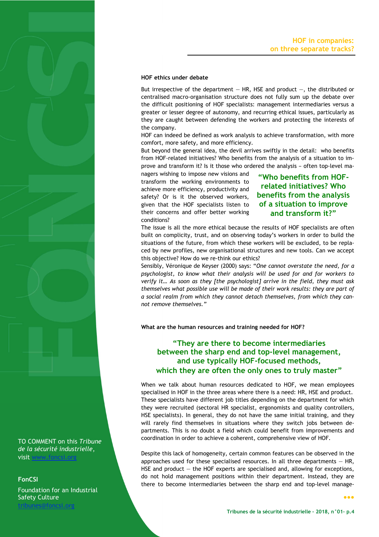#### **HOF ethics under debate**

But irrespective of the department  $-$  HR, HSE and product  $-$ , the distributed or centralised macro-organisation structure does not fully sum up the debate over the difficult positioning of HOF specialists: management intermediaries versus a greater or lesser degree of autonomy, and recurring ethical issues, particularly as they are caught between defending the workers and protecting the interests of the company.

HOF can indeed be defined as work analysis to achieve transformation, with more comfort, more safety, and more efficiency.

But beyond the general idea, the devil arrives swiftly in the detail: who benefits from HOF-related initiatives? Who benefits from the analysis of a situation to improve and transform it? Is it those who ordered the analysis − often top-level ma-

nagers wishing to impose new visions and transform the working environments to achieve more efficiency, productivity and safety? Or is it the observed workers, given that the HOF specialists listen to their concerns and offer better working conditions?

## **"Who benefits from HOFrelated initiatives? Who benefits from the analysis of a situation to improve and transform it?"**

The issue is all the more ethical because the results of HOF specialists are often built on complicity, trust, and on observing today's workers in order to build the situations of the future, from which these workers will be excluded, to be replaced by new profiles, new organisational structures and new tools. Can we accept this objective? How do we re-think our ethics?

Sensibly, Véronique de Keyser (2000) says: "*One cannot overstate the need, for a psychologist, to know what their analysis will be used for and for workers to verify it… As soon as they [the psychologist] arrive in the field, they must ask themselves what possible use will be made of their work results: they are part of a social realm from which they cannot detach themselves, from which they cannot remove themselves."*

**What are the human resources and training needed for HOF?**

**"They are there to become intermediaries between the sharp end and top-level management, and use typically HOF-focused methods, which they are often the only ones to truly master"** 

When we talk about human resources dedicated to HOF, we mean employees specialised in HOF in the three areas where there is a need: HR, HSE and product. These specialists have different job titles depending on the department for which they were recruited (sectoral HR specialist, ergonomists and quality controllers, HSE specialists). In general, they do not have the same initial training, and they will rarely find themselves in situations where they switch jobs between departments. This is no doubt a field which could benefit from improvements and coordination in order to achieve a coherent, comprehensive view of HOF.

Despite this lack of homogeneity, certain common features can be observed in the approaches used for these specialised resources. In all three departments  $-$  HR, HSE and product  $-$  the HOF experts are specialised and, allowing for exceptions, do not hold management positions within their department. Instead, they are there to become intermediaries between the sharp end and top-level manage-

TO COMMENT on this *Tribune de la sécurité industrielle*, visit www.foncsi.org

#### **FonCSI**

Foundation for an Industrial Safety Culture

tribunes@foncsi.org